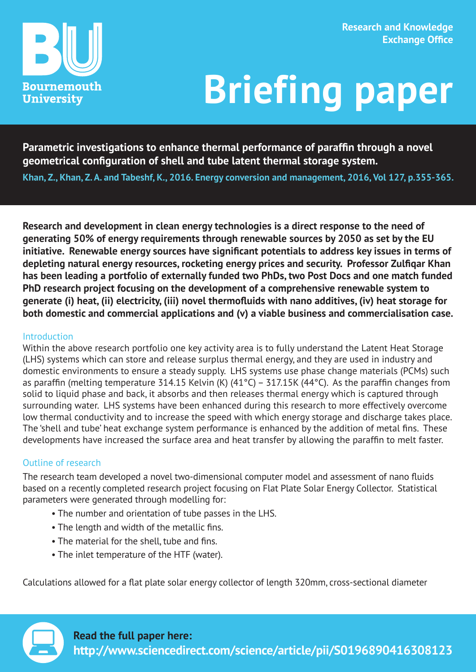

# **Briefing paper**

**Parametric investigations to enhance thermal performance of paraffin through a novel geometrical configuration of shell and tube latent thermal storage system.**

**Khan, Z., Khan, Z. A. and Tabeshf, K., 2016. Energy conversion and management, 2016, Vol 127, p.355-365.**

**Research and development in clean energy technologies is a direct response to the need of generating 50% of energy requirements through renewable sources by 2050 as set by the EU initiative. Renewable energy sources have significant potentials to address key issues in terms of depleting natural energy resources, rocketing energy prices and security. Professor Zulfiqar Khan has been leading a portfolio of externally funded two PhDs, two Post Docs and one match funded PhD research project focusing on the development of a comprehensive renewable system to generate (i) heat, (ii) electricity, (iii) novel thermofluids with nano additives, (iv) heat storage for both domestic and commercial applications and (v) a viable business and commercialisation case.**

### Introduction

Within the above research portfolio one key activity area is to fully understand the Latent Heat Storage (LHS) systems which can store and release surplus thermal energy, and they are used in industry and domestic environments to ensure a steady supply. LHS systems use phase change materials (PCMs) such as paraffin (melting temperature 314.15 Kelvin (K) (41°C) – 317.15K (44°C). As the paraffin changes from solid to liquid phase and back, it absorbs and then releases thermal energy which is captured through surrounding water. LHS systems have been enhanced during this research to more effectively overcome low thermal conductivity and to increase the speed with which energy storage and discharge takes place. The 'shell and tube' heat exchange system performance is enhanced by the addition of metal fins. These developments have increased the surface area and heat transfer by allowing the paraffin to melt faster.

### Outline of research

The research team developed a novel two-dimensional computer model and assessment of nano fluids based on a recently completed research project focusing on Flat Plate Solar Energy Collector. Statistical parameters were generated through modelling for:

- The number and orientation of tube passes in the LHS.
- The length and width of the metallic fins.
- The material for the shell, tube and fins.
- The inlet temperature of the HTF (water).

Calculations allowed for a flat plate solar energy collector of length 320mm, cross-sectional diameter